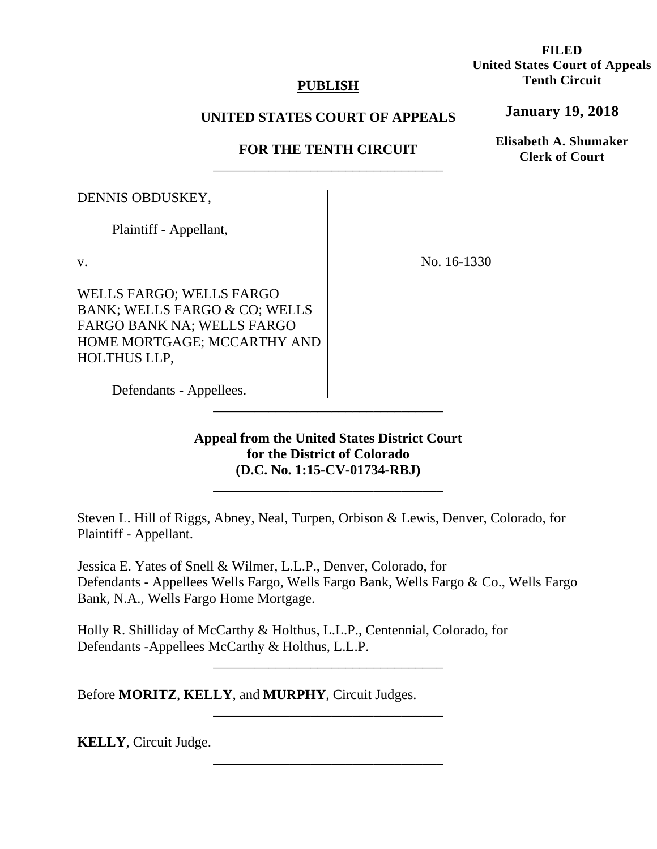# **PUBLISH**

# **UNITED STATES COURT OF APPEALS**

# **FOR THE TENTH CIRCUIT**  \_\_\_\_\_\_\_\_\_\_\_\_\_\_\_\_\_\_\_\_\_\_\_\_\_\_\_\_\_\_\_\_\_

DENNIS OBDUSKEY,

Plaintiff - Appellant,

v.

WELLS FARGO; WELLS FARGO BANK; WELLS FARGO & CO; WELLS FARGO BANK NA; WELLS FARGO HOME MORTGAGE; MCCARTHY AND HOLTHUS LLP,

No. 16-1330

 Defendants - Appellees. \_\_\_\_\_\_\_\_\_\_\_\_\_\_\_\_\_\_\_\_\_\_\_\_\_\_\_\_\_\_\_\_\_

> **Appeal from the United States District Court for the District of Colorado (D.C. No. 1:15-CV-01734-RBJ)**

\_\_\_\_\_\_\_\_\_\_\_\_\_\_\_\_\_\_\_\_\_\_\_\_\_\_\_\_\_\_\_\_\_

Steven L. Hill of Riggs, Abney, Neal, Turpen, Orbison & Lewis, Denver, Colorado, for Plaintiff - Appellant.

Jessica E. Yates of Snell & Wilmer, L.L.P., Denver, Colorado, for Defendants - Appellees Wells Fargo, Wells Fargo Bank, Wells Fargo & Co., Wells Fargo Bank, N.A., Wells Fargo Home Mortgage.

\_\_\_\_\_\_\_\_\_\_\_\_\_\_\_\_\_\_\_\_\_\_\_\_\_\_\_\_\_\_\_\_\_

\_\_\_\_\_\_\_\_\_\_\_\_\_\_\_\_\_\_\_\_\_\_\_\_\_\_\_\_\_\_\_\_\_

\_\_\_\_\_\_\_\_\_\_\_\_\_\_\_\_\_\_\_\_\_\_\_\_\_\_\_\_\_\_\_\_\_

Holly R. Shilliday of McCarthy & Holthus, L.L.P., Centennial, Colorado, for Defendants -Appellees McCarthy & Holthus, L.L.P.

Before **MORITZ**, **KELLY**, and **MURPHY**, Circuit Judges.

**KELLY**, Circuit Judge.

**FILED United States Court of Appeals Tenth Circuit** 

**January 19, 2018**

**Elisabeth A. Shumaker Clerk of Court**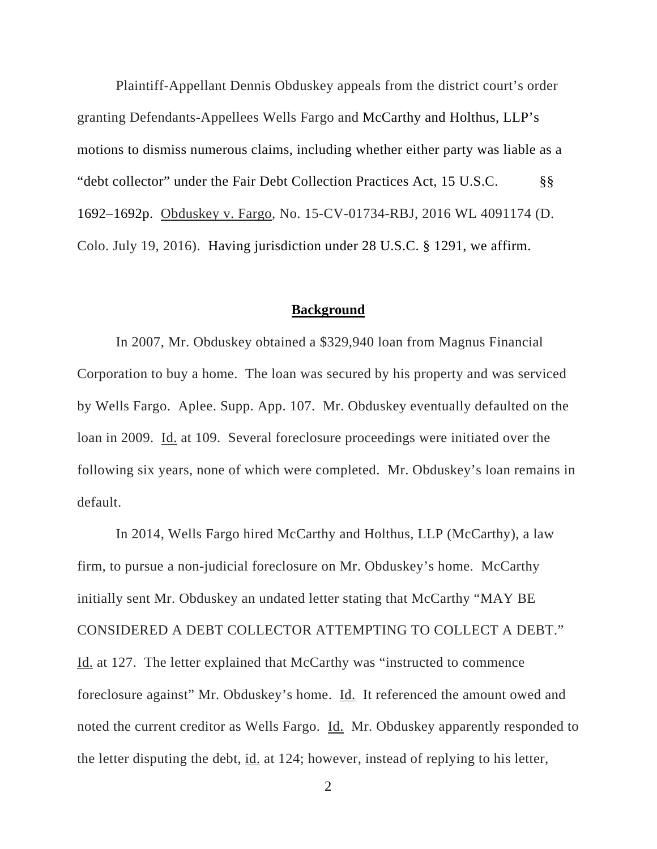Plaintiff-Appellant Dennis Obduskey appeals from the district court's order granting Defendants-Appellees Wells Fargo and McCarthy and Holthus, LLP's motions to dismiss numerous claims, including whether either party was liable as a "debt collector" under the Fair Debt Collection Practices Act, 15 U.S.C. §§ 1692–1692p. Obduskey v. Fargo, No. 15-CV-01734-RBJ, 2016 WL 4091174 (D. Colo. July 19, 2016). Having jurisdiction under 28 U.S.C. § 1291, we affirm.

#### **Background**

In 2007, Mr. Obduskey obtained a \$329,940 loan from Magnus Financial Corporation to buy a home. The loan was secured by his property and was serviced by Wells Fargo. Aplee. Supp. App. 107. Mr. Obduskey eventually defaulted on the loan in 2009. Id. at 109. Several foreclosure proceedings were initiated over the following six years, none of which were completed. Mr. Obduskey's loan remains in default.

In 2014, Wells Fargo hired McCarthy and Holthus, LLP (McCarthy), a law firm, to pursue a non-judicial foreclosure on Mr. Obduskey's home. McCarthy initially sent Mr. Obduskey an undated letter stating that McCarthy "MAY BE CONSIDERED A DEBT COLLECTOR ATTEMPTING TO COLLECT A DEBT." Id. at 127. The letter explained that McCarthy was "instructed to commence foreclosure against" Mr. Obduskey's home. Id. It referenced the amount owed and noted the current creditor as Wells Fargo. Id. Mr. Obduskey apparently responded to the letter disputing the debt, id. at 124; however, instead of replying to his letter,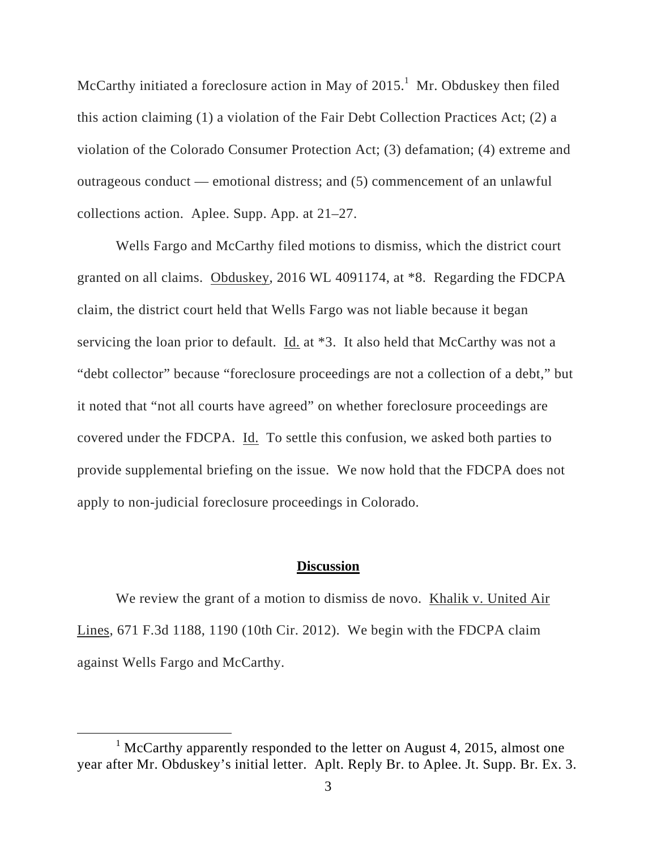McCarthy initiated a foreclosure action in May of  $2015<sup>1</sup>$  Mr. Obduskey then filed this action claiming (1) a violation of the Fair Debt Collection Practices Act; (2) a violation of the Colorado Consumer Protection Act; (3) defamation; (4) extreme and outrageous conduct — emotional distress; and (5) commencement of an unlawful collections action. Aplee. Supp. App. at 21–27.

Wells Fargo and McCarthy filed motions to dismiss, which the district court granted on all claims. Obduskey, 2016 WL 4091174, at \*8. Regarding the FDCPA claim, the district court held that Wells Fargo was not liable because it began servicing the loan prior to default. Id. at \*3. It also held that McCarthy was not a "debt collector" because "foreclosure proceedings are not a collection of a debt," but it noted that "not all courts have agreed" on whether foreclosure proceedings are covered under the FDCPA. Id. To settle this confusion, we asked both parties to provide supplemental briefing on the issue. We now hold that the FDCPA does not apply to non-judicial foreclosure proceedings in Colorado.

## **Discussion**

We review the grant of a motion to dismiss de novo. Khalik v. United Air Lines, 671 F.3d 1188, 1190 (10th Cir. 2012). We begin with the FDCPA claim against Wells Fargo and McCarthy.

<sup>&</sup>lt;u>1</u>  $1$  McCarthy apparently responded to the letter on August 4, 2015, almost one year after Mr. Obduskey's initial letter. Aplt. Reply Br. to Aplee. Jt. Supp. Br. Ex. 3.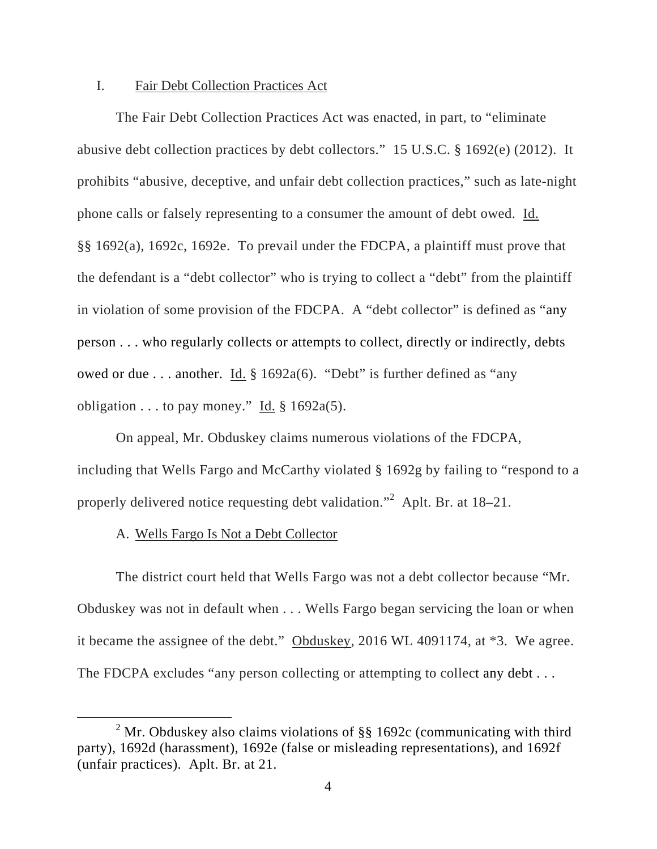## I. Fair Debt Collection Practices Act

The Fair Debt Collection Practices Act was enacted, in part, to "eliminate abusive debt collection practices by debt collectors." 15 U.S.C. § 1692(e) (2012). It prohibits "abusive, deceptive, and unfair debt collection practices," such as late-night phone calls or falsely representing to a consumer the amount of debt owed. Id. §§ 1692(a), 1692c, 1692e. To prevail under the FDCPA, a plaintiff must prove that the defendant is a "debt collector" who is trying to collect a "debt" from the plaintiff in violation of some provision of the FDCPA. A "debt collector" is defined as "any person . . . who regularly collects or attempts to collect, directly or indirectly, debts owed or due . . . another. Id. § 1692a(6). "Debt" is further defined as "any obligation  $\dots$  to pay money." Id. § 1692a(5).

On appeal, Mr. Obduskey claims numerous violations of the FDCPA, including that Wells Fargo and McCarthy violated § 1692g by failing to "respond to a properly delivered notice requesting debt validation."<sup>2</sup> Aplt. Br. at 18–21.

#### A. Wells Fargo Is Not a Debt Collector

The district court held that Wells Fargo was not a debt collector because "Mr. Obduskey was not in default when . . . Wells Fargo began servicing the loan or when it became the assignee of the debt." Obduskey, 2016 WL 4091174, at \*3. We agree. The FDCPA excludes "any person collecting or attempting to collect any debt...

 <sup>2</sup> <sup>2</sup> Mr. Obduskey also claims violations of  $\S$ § 1692c (communicating with third party), 1692d (harassment), 1692e (false or misleading representations), and 1692f (unfair practices). Aplt. Br. at 21.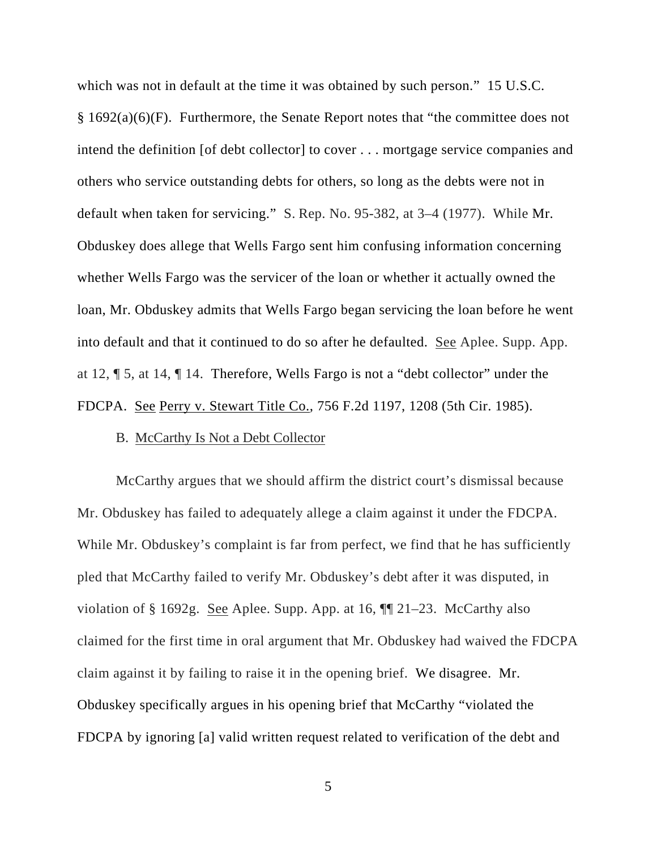which was not in default at the time it was obtained by such person." 15 U.S.C.  $§ 1692(a)(6)(F)$ . Furthermore, the Senate Report notes that "the committee does not intend the definition [of debt collector] to cover . . . mortgage service companies and others who service outstanding debts for others, so long as the debts were not in default when taken for servicing." S. Rep. No. 95-382, at 3–4 (1977). While Mr. Obduskey does allege that Wells Fargo sent him confusing information concerning whether Wells Fargo was the servicer of the loan or whether it actually owned the loan, Mr. Obduskey admits that Wells Fargo began servicing the loan before he went into default and that it continued to do so after he defaulted. See Aplee. Supp. App. at 12, ¶ 5, at 14, ¶ 14. Therefore, Wells Fargo is not a "debt collector" under the FDCPA. See Perry v. Stewart Title Co., 756 F.2d 1197, 1208 (5th Cir. 1985).

#### B. McCarthy Is Not a Debt Collector

McCarthy argues that we should affirm the district court's dismissal because Mr. Obduskey has failed to adequately allege a claim against it under the FDCPA. While Mr. Obduskey's complaint is far from perfect, we find that he has sufficiently pled that McCarthy failed to verify Mr. Obduskey's debt after it was disputed, in violation of § 1692g. See Aplee. Supp. App. at 16,  $\P$  21–23. McCarthy also claimed for the first time in oral argument that Mr. Obduskey had waived the FDCPA claim against it by failing to raise it in the opening brief. We disagree. Mr. Obduskey specifically argues in his opening brief that McCarthy "violated the FDCPA by ignoring [a] valid written request related to verification of the debt and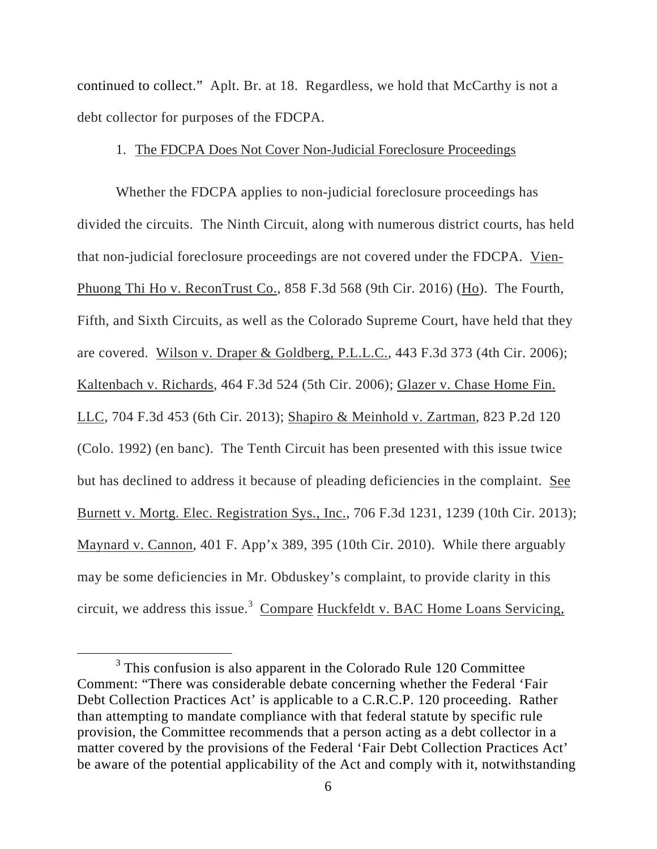continued to collect." Aplt. Br. at 18. Regardless, we hold that McCarthy is not a debt collector for purposes of the FDCPA.

## 1. The FDCPA Does Not Cover Non-Judicial Foreclosure Proceedings

Whether the FDCPA applies to non-judicial foreclosure proceedings has divided the circuits. The Ninth Circuit, along with numerous district courts, has held that non-judicial foreclosure proceedings are not covered under the FDCPA. Vien-Phuong Thi Ho v. ReconTrust Co., 858 F.3d 568 (9th Cir. 2016) (Ho). The Fourth, Fifth, and Sixth Circuits, as well as the Colorado Supreme Court, have held that they are covered. Wilson v. Draper & Goldberg, P.L.L.C., 443 F.3d 373 (4th Cir. 2006); Kaltenbach v. Richards, 464 F.3d 524 (5th Cir. 2006); Glazer v. Chase Home Fin. LLC, 704 F.3d 453 (6th Cir. 2013); Shapiro & Meinhold v. Zartman, 823 P.2d 120 (Colo. 1992) (en banc). The Tenth Circuit has been presented with this issue twice but has declined to address it because of pleading deficiencies in the complaint. See Burnett v. Mortg. Elec. Registration Sys., Inc., 706 F.3d 1231, 1239 (10th Cir. 2013); Maynard v. Cannon, 401 F. App'x 389, 395 (10th Cir. 2010). While there arguably may be some deficiencies in Mr. Obduskey's complaint, to provide clarity in this circuit, we address this issue.<sup>3</sup> Compare Huckfeldt v. BAC Home Loans Servicing,

 $\frac{1}{3}$  $3$  This confusion is also apparent in the Colorado Rule 120 Committee Comment: "There was considerable debate concerning whether the Federal 'Fair Debt Collection Practices Act' is applicable to a C.R.C.P. 120 proceeding. Rather than attempting to mandate compliance with that federal statute by specific rule provision, the Committee recommends that a person acting as a debt collector in a matter covered by the provisions of the Federal 'Fair Debt Collection Practices Act' be aware of the potential applicability of the Act and comply with it, notwithstanding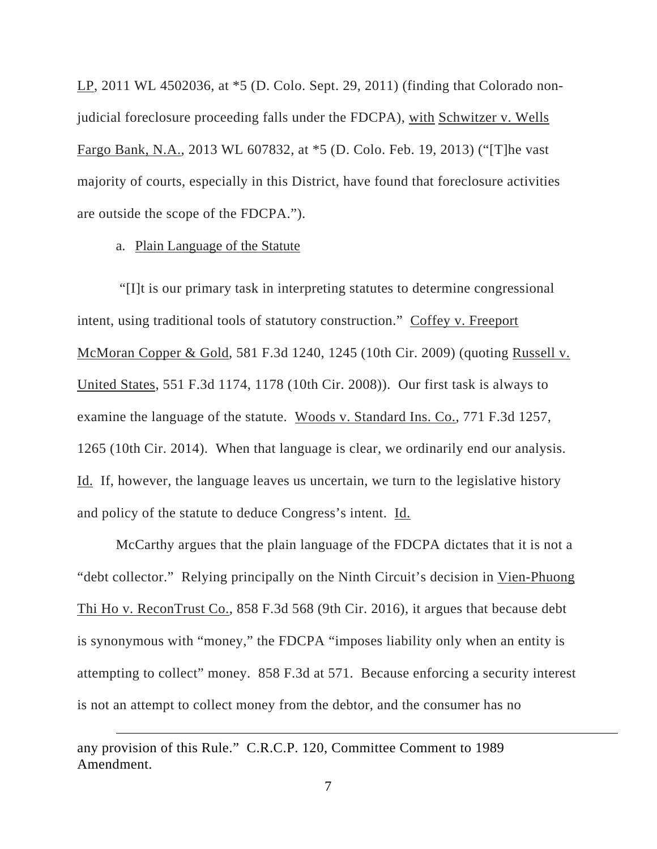LP, 2011 WL 4502036, at \*5 (D. Colo. Sept. 29, 2011) (finding that Colorado nonjudicial foreclosure proceeding falls under the FDCPA), with Schwitzer v. Wells Fargo Bank, N.A., 2013 WL 607832, at \*5 (D. Colo. Feb. 19, 2013) ("[T]he vast majority of courts, especially in this District, have found that foreclosure activities are outside the scope of the FDCPA.").

## a. Plain Language of the Statute

 "[I]t is our primary task in interpreting statutes to determine congressional intent, using traditional tools of statutory construction." Coffey v. Freeport McMoran Copper & Gold, 581 F.3d 1240, 1245 (10th Cir. 2009) (quoting Russell v. United States, 551 F.3d 1174, 1178 (10th Cir. 2008)). Our first task is always to examine the language of the statute. Woods v. Standard Ins. Co., 771 F.3d 1257, 1265 (10th Cir. 2014). When that language is clear, we ordinarily end our analysis. Id. If, however, the language leaves us uncertain, we turn to the legislative history and policy of the statute to deduce Congress's intent. Id.

McCarthy argues that the plain language of the FDCPA dictates that it is not a "debt collector." Relying principally on the Ninth Circuit's decision in Vien-Phuong Thi Ho v. ReconTrust Co., 858 F.3d 568 (9th Cir. 2016), it argues that because debt is synonymous with "money," the FDCPA "imposes liability only when an entity is attempting to collect" money. 858 F.3d at 571. Because enforcing a security interest is not an attempt to collect money from the debtor, and the consumer has no

any provision of this Rule." C.R.C.P. 120, Committee Comment to 1989 Amendment.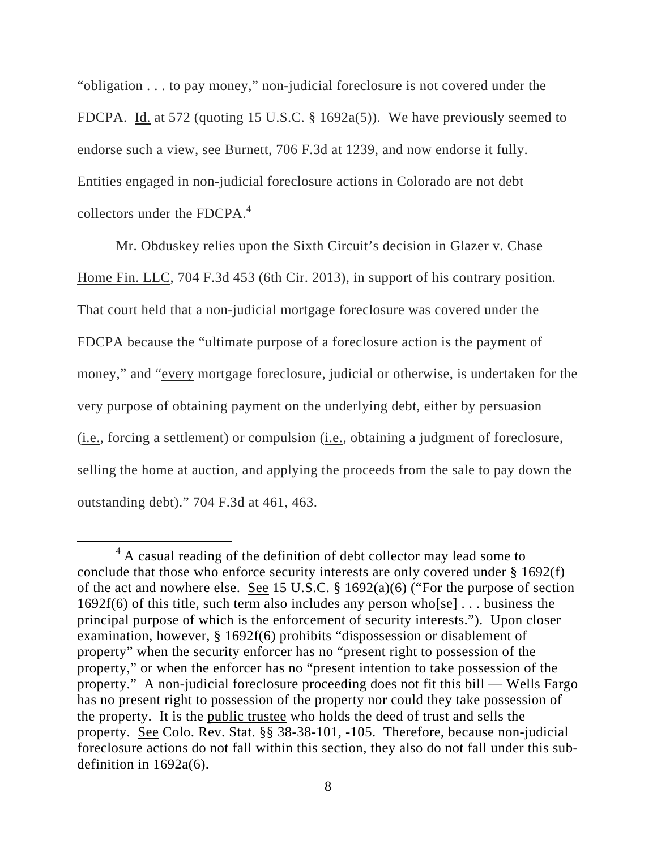"obligation . . . to pay money," non-judicial foreclosure is not covered under the FDCPA. Id. at 572 (quoting 15 U.S.C. § 1692a(5)). We have previously seemed to endorse such a view, see Burnett, 706 F.3d at 1239, and now endorse it fully. Entities engaged in non-judicial foreclosure actions in Colorado are not debt collectors under the FDCPA. $4$ 

Mr. Obduskey relies upon the Sixth Circuit's decision in Glazer v. Chase Home Fin. LLC, 704 F.3d 453 (6th Cir. 2013), in support of his contrary position. That court held that a non-judicial mortgage foreclosure was covered under the FDCPA because the "ultimate purpose of a foreclosure action is the payment of money," and "every mortgage foreclosure, judicial or otherwise, is undertaken for the very purpose of obtaining payment on the underlying debt, either by persuasion (i.e., forcing a settlement) or compulsion (i.e., obtaining a judgment of foreclosure, selling the home at auction, and applying the proceeds from the sale to pay down the outstanding debt)." 704 F.3d at 461, 463.

 $\overline{4}$  $4 \text{ A}$  casual reading of the definition of debt collector may lead some to conclude that those who enforce security interests are only covered under § 1692(f) of the act and nowhere else. <u>See</u> 15 U.S.C.  $\S$  1692(a)(6) ("For the purpose of section 1692f(6) of this title, such term also includes any person who[se] . . . business the principal purpose of which is the enforcement of security interests."). Upon closer examination, however, § 1692f(6) prohibits "dispossession or disablement of property" when the security enforcer has no "present right to possession of the property," or when the enforcer has no "present intention to take possession of the property." A non-judicial foreclosure proceeding does not fit this bill — Wells Fargo has no present right to possession of the property nor could they take possession of the property. It is the public trustee who holds the deed of trust and sells the property. See Colo. Rev. Stat. §§ 38-38-101, -105. Therefore, because non-judicial foreclosure actions do not fall within this section, they also do not fall under this subdefinition in 1692a(6).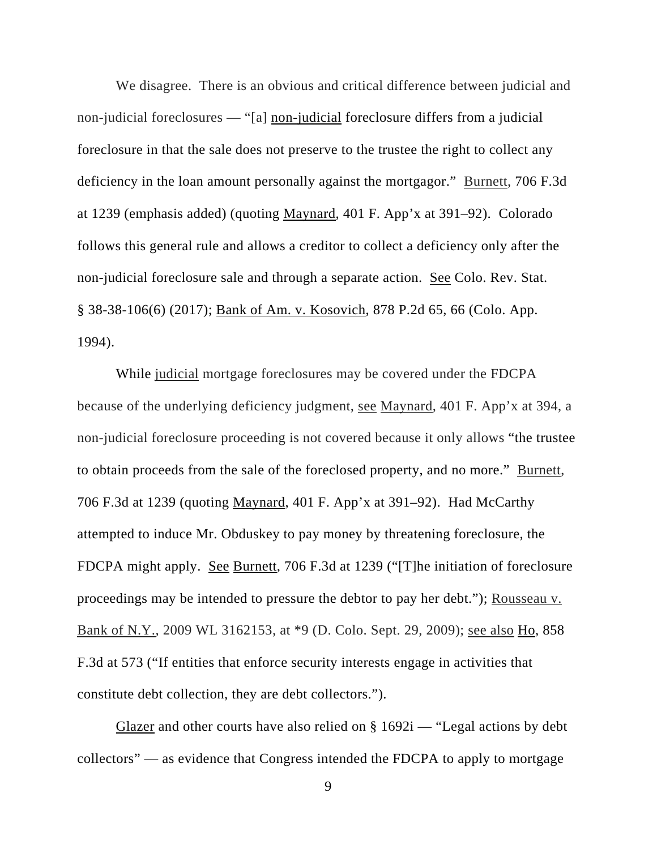We disagree. There is an obvious and critical difference between judicial and non-judicial foreclosures — "[a] non-judicial foreclosure differs from a judicial foreclosure in that the sale does not preserve to the trustee the right to collect any deficiency in the loan amount personally against the mortgagor." Burnett, 706 F.3d at 1239 (emphasis added) (quoting Maynard, 401 F. App'x at 391–92). Colorado follows this general rule and allows a creditor to collect a deficiency only after the non-judicial foreclosure sale and through a separate action. See Colo. Rev. Stat. § 38-38-106(6) (2017); Bank of Am. v. Kosovich, 878 P.2d 65, 66 (Colo. App. 1994).

While judicial mortgage foreclosures may be covered under the FDCPA because of the underlying deficiency judgment, see Maynard, 401 F. App'x at 394, a non-judicial foreclosure proceeding is not covered because it only allows "the trustee to obtain proceeds from the sale of the foreclosed property, and no more." Burnett, 706 F.3d at 1239 (quoting Maynard, 401 F. App'x at 391–92). Had McCarthy attempted to induce Mr. Obduskey to pay money by threatening foreclosure, the FDCPA might apply. See Burnett, 706 F.3d at 1239 ("[T]he initiation of foreclosure proceedings may be intended to pressure the debtor to pay her debt."); Rousseau v. Bank of N.Y., 2009 WL 3162153, at \*9 (D. Colo. Sept. 29, 2009); see also Ho, 858 F.3d at 573 ("If entities that enforce security interests engage in activities that constitute debt collection, they are debt collectors.").

Glazer and other courts have also relied on  $\S 1692i$  — "Legal actions by debt collectors" — as evidence that Congress intended the FDCPA to apply to mortgage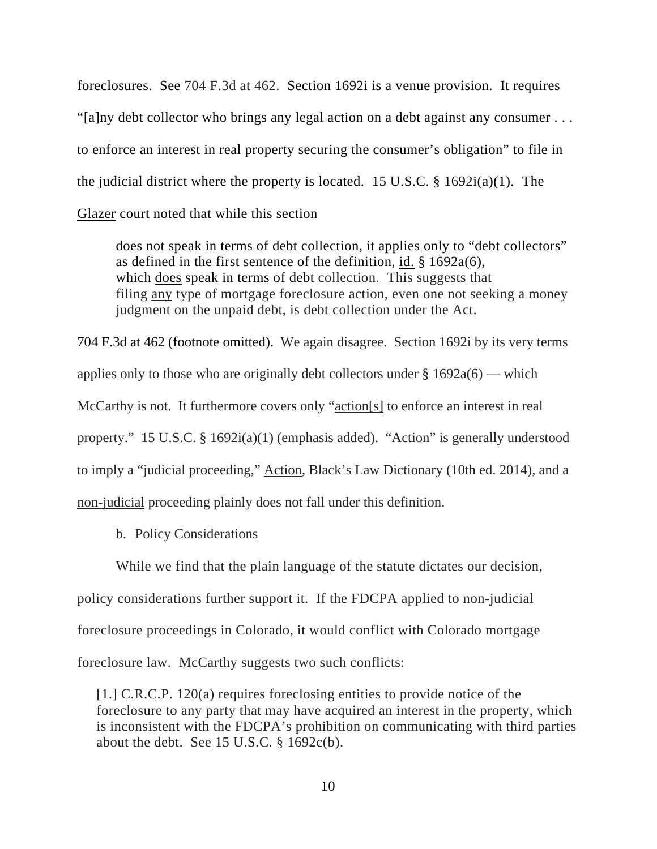foreclosures. See 704 F.3d at 462. Section 1692i is a venue provision. It requires "[a]ny debt collector who brings any legal action on a debt against any consumer . . . to enforce an interest in real property securing the consumer's obligation" to file in the judicial district where the property is located. 15 U.S.C.  $\S$  1692i(a)(1). The Glazer court noted that while this section

does not speak in terms of debt collection, it applies only to "debt collectors" as defined in the first sentence of the definition, id. § 1692a(6), which does speak in terms of debt collection. This suggests that filing any type of mortgage foreclosure action, even one not seeking a money judgment on the unpaid debt, is debt collection under the Act.

704 F.3d at 462 (footnote omitted). We again disagree. Section 1692i by its very terms applies only to those who are originally debt collectors under  $\S 1692a(6)$  — which McCarthy is not. It furthermore covers only "action[s] to enforce an interest in real property." 15 U.S.C. § 1692i(a)(1) (emphasis added). "Action" is generally understood to imply a "judicial proceeding," Action, Black's Law Dictionary (10th ed. 2014), and a non-judicial proceeding plainly does not fall under this definition.

b. Policy Considerations

While we find that the plain language of the statute dictates our decision, policy considerations further support it. If the FDCPA applied to non-judicial foreclosure proceedings in Colorado, it would conflict with Colorado mortgage foreclosure law. McCarthy suggests two such conflicts:

[1.] C.R.C.P. 120(a) requires foreclosing entities to provide notice of the foreclosure to any party that may have acquired an interest in the property, which is inconsistent with the FDCPA's prohibition on communicating with third parties about the debt. See 15 U.S.C.  $\S$  1692c(b).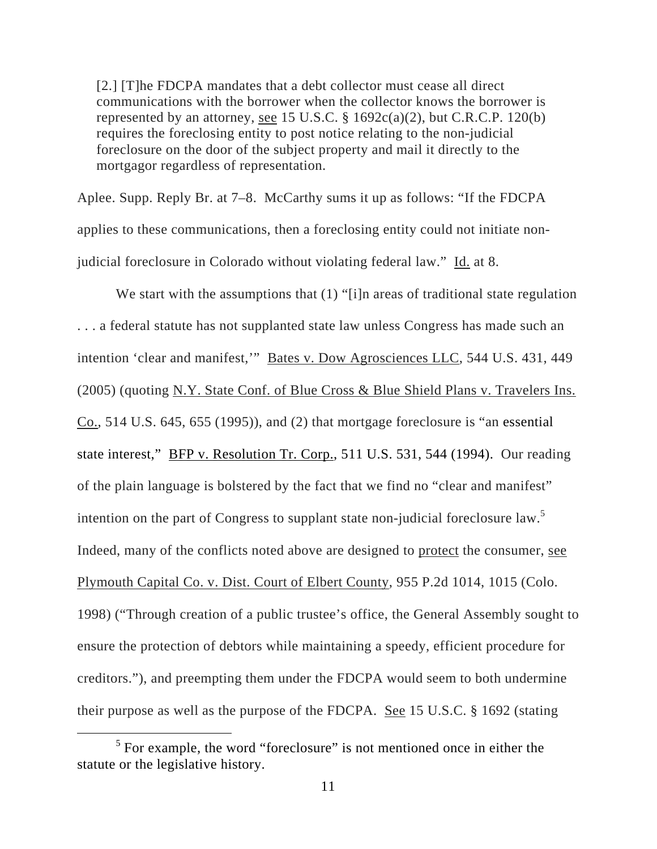[2.] [T]he FDCPA mandates that a debt collector must cease all direct communications with the borrower when the collector knows the borrower is represented by an attorney, see 15 U.S.C.  $\S$  1692c(a)(2), but C.R.C.P. 120(b) requires the foreclosing entity to post notice relating to the non-judicial foreclosure on the door of the subject property and mail it directly to the mortgagor regardless of representation.

Aplee. Supp. Reply Br. at 7–8. McCarthy sums it up as follows: "If the FDCPA applies to these communications, then a foreclosing entity could not initiate nonjudicial foreclosure in Colorado without violating federal law." Id. at 8.

We start with the assumptions that (1) "[i]n areas of traditional state regulation . . . a federal statute has not supplanted state law unless Congress has made such an intention 'clear and manifest,'" Bates v. Dow Agrosciences LLC, 544 U.S. 431, 449 (2005) (quoting N.Y. State Conf. of Blue Cross & Blue Shield Plans v. Travelers Ins.  $Co., 514$  U.S. 645, 655 (1995)), and (2) that mortgage foreclosure is "an essential state interest," BFP v. Resolution Tr. Corp., 511 U.S. 531, 544 (1994). Our reading of the plain language is bolstered by the fact that we find no "clear and manifest" intention on the part of Congress to supplant state non-judicial foreclosure law.<sup>5</sup> Indeed, many of the conflicts noted above are designed to protect the consumer, see Plymouth Capital Co. v. Dist. Court of Elbert County, 955 P.2d 1014, 1015 (Colo. 1998) ("Through creation of a public trustee's office, the General Assembly sought to ensure the protection of debtors while maintaining a speedy, efficient procedure for creditors."), and preempting them under the FDCPA would seem to both undermine their purpose as well as the purpose of the FDCPA. See 15 U.S.C. § 1692 (stating

 $\frac{1}{5}$  $5$  For example, the word "foreclosure" is not mentioned once in either the statute or the legislative history.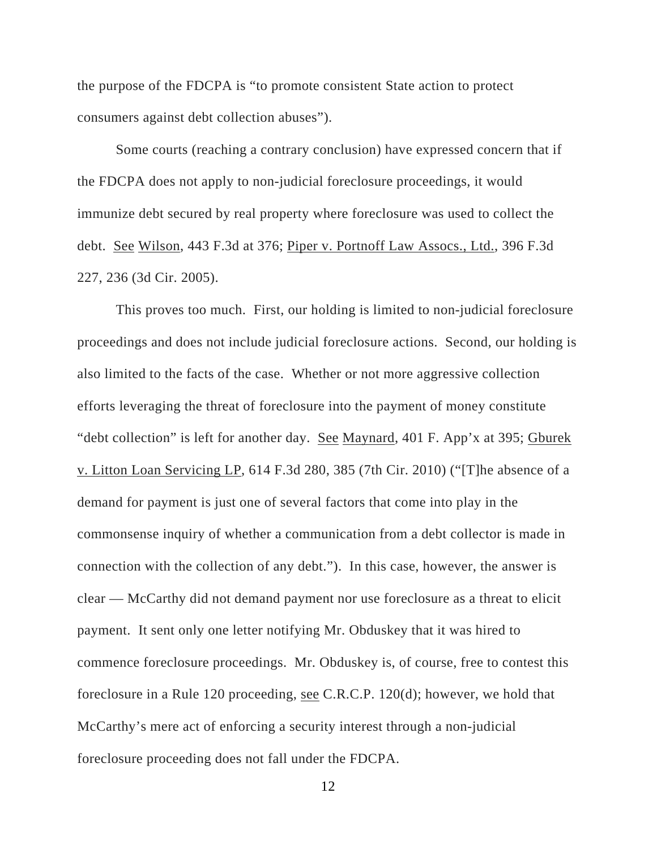the purpose of the FDCPA is "to promote consistent State action to protect consumers against debt collection abuses").

Some courts (reaching a contrary conclusion) have expressed concern that if the FDCPA does not apply to non-judicial foreclosure proceedings, it would immunize debt secured by real property where foreclosure was used to collect the debt. See Wilson, 443 F.3d at 376; Piper v. Portnoff Law Assocs., Ltd., 396 F.3d 227, 236 (3d Cir. 2005).

This proves too much. First, our holding is limited to non-judicial foreclosure proceedings and does not include judicial foreclosure actions. Second, our holding is also limited to the facts of the case. Whether or not more aggressive collection efforts leveraging the threat of foreclosure into the payment of money constitute "debt collection" is left for another day. See Maynard, 401 F. App'x at 395; Gburek v. Litton Loan Servicing LP, 614 F.3d 280, 385 (7th Cir. 2010) ("[T]he absence of a demand for payment is just one of several factors that come into play in the commonsense inquiry of whether a communication from a debt collector is made in connection with the collection of any debt."). In this case, however, the answer is clear — McCarthy did not demand payment nor use foreclosure as a threat to elicit payment. It sent only one letter notifying Mr. Obduskey that it was hired to commence foreclosure proceedings. Mr. Obduskey is, of course, free to contest this foreclosure in a Rule 120 proceeding, see C.R.C.P. 120(d); however, we hold that McCarthy's mere act of enforcing a security interest through a non-judicial foreclosure proceeding does not fall under the FDCPA.